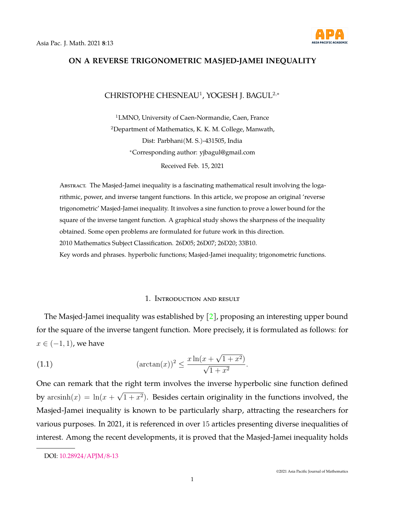

# **ON A REVERSE TRIGONOMETRIC MASJED-JAMEI INEQUALITY**

# CHRISTOPHE CHESNEAU<sup>1</sup>, YOGESH J. BAGUL<sup>2,∗</sup>

<sup>1</sup>LMNO, University of Caen-Normandie, Caen, France <sup>2</sup>Department of Mathematics, K. K. M. College, Manwath, Dist: Parbhani(M. S.)-431505, India <sup>∗</sup>Corresponding author: yjbagul@gmail.com Received Feb. 15, 2021

Abstract. The Masjed-Jamei inequality is a fascinating mathematical result involving the logarithmic, power, and inverse tangent functions. In this article, we propose an original 'reverse trigonometric' Masjed-Jamei inequality. It involves a sine function to prove a lower bound for the square of the inverse tangent function. A graphical study shows the sharpness of the inequality obtained. Some open problems are formulated for future work in this direction. 2010 Mathematics Subject Classification. 26D05; 26D07; 26D20; 33B10. Key words and phrases. hyperbolic functions; Masjed-Jamei inequality; trigonometric functions.

#### 1. Introduction and result

The Masjed-Jamei inequality was established by [\[2\]](#page-3-0), proposing an interesting upper bound for the square of the inverse tangent function. More precisely, it is formulated as follows: for  $x \in (-1, 1)$ , we have

<span id="page-0-0"></span>(1.1) 
$$
(\arctan(x))^2 \le \frac{x \ln(x + \sqrt{1 + x^2})}{\sqrt{1 + x^2}}.
$$

One can remark that the right term involves the inverse hyperbolic sine function defined by  $arcsinh(x) = ln(x +$ √  $(1 + x<sup>2</sup>)$ . Besides certain originality in the functions involved, the Masjed-Jamei inequality is known to be particularly sharp, attracting the researchers for various purposes. In 2021, it is referenced in over 15 articles presenting diverse inequalities of interest. Among the recent developments, it is proved that the Masjed-Jamei inequality holds

DOI: [10.28924/APJM/8-13](https://doi.org/10.28924/APJM/8-13)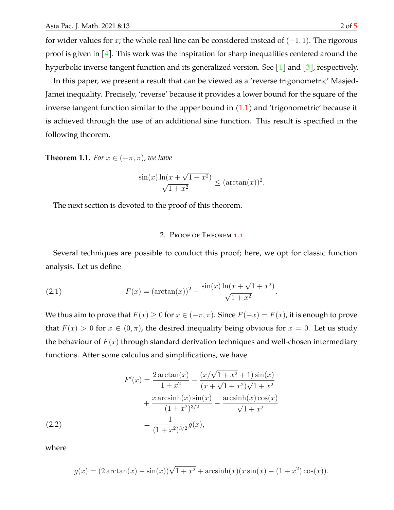for wider values for x; the whole real line can be considered instead of  $(-1, 1)$ . The rigorous proof is given in  $[4]$ . This work was the inspiration for sharp inequalities centered around the hyperbolic inverse tangent function and its generalized version. See [\[1\]](#page-3-1) and [\[3\]](#page-4-2), respectively.

In this paper, we present a result that can be viewed as a 'reverse trigonometric' Masjed-Jamei inequality. Precisely, 'reverse' because it provides a lower bound for the square of the inverse tangent function similar to the upper bound in  $(1.1)$  and 'trigonometric' because it is achieved through the use of an additional sine function. This result is specified in the following theorem.

<span id="page-1-0"></span>**Theorem 1.1.** *For*  $x \in (-\pi, \pi)$ *, we have* 

$$
\frac{\sin(x)\ln(x+\sqrt{1+x^2})}{\sqrt{1+x^2}} \le (\arctan(x))^2.
$$

The next section is devoted to the proof of this theorem.

## 2. Proof of Theorem [1.1](#page-1-0)

Several techniques are possible to conduct this proof; here, we opt for classic function analysis. Let us define

<span id="page-1-2"></span>(2.1) 
$$
F(x) = (\arctan(x))^2 - \frac{\sin(x)\ln(x + \sqrt{1 + x^2})}{\sqrt{1 + x^2}}.
$$

We thus aim to prove that  $F(x) \ge 0$  for  $x \in (-\pi, \pi)$ . Since  $F(-x) = F(x)$ , it is enough to prove that  $F(x) > 0$  for  $x \in (0, \pi)$ , the desired inequality being obvious for  $x = 0$ . Let us study the behaviour of  $F(x)$  through standard derivation techniques and well-chosen intermediary functions. After some calculus and simplifications, we have

$$
F'(x) = \frac{2 \arctan(x)}{1+x^2} - \frac{(x/\sqrt{1+x^2}+1)\sin(x)}{(x+\sqrt{1+x^2})\sqrt{1+x^2}} + \frac{x \arcsinh(x)\sin(x)}{(1+x^2)^{3/2}} - \frac{\arcsinh(x)\cos(x)}{\sqrt{1+x^2}}
$$
  
(2.2)  

$$
= \frac{1}{(1+x^2)^{3/2}}g(x),
$$

<span id="page-1-1"></span>where

$$
g(x) = (2 \arctan(x) - \sin(x))\sqrt{1 + x^2} + \operatorname{arcsinh}(x)(x \sin(x) - (1 + x^2)\cos(x)).
$$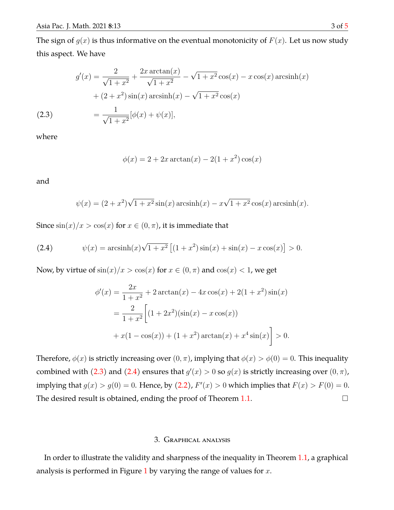The sign of  $g(x)$  is thus informative on the eventual monotonicity of  $F(x)$ . Let us now study this aspect. We have

(2.3)  
\n
$$
g'(x) = \frac{2}{\sqrt{1+x^2}} + \frac{2x \arctan(x)}{\sqrt{1+x^2}} - \sqrt{1+x^2} \cos(x) - x \cos(x) \arcsin(x)
$$
\n
$$
+ (2+x^2) \sin(x) \arcsin(x) - \sqrt{1+x^2} \cos(x)
$$
\n
$$
= \frac{1}{\sqrt{1+x^2}} [\phi(x) + \psi(x)],
$$

<span id="page-2-0"></span>where

$$
\phi(x) = 2 + 2x \arctan(x) - 2(1 + x^2) \cos(x)
$$

and

$$
\psi(x) = (2 + x^2)\sqrt{1 + x^2}\sin(x)\arcsin(x) - x\sqrt{1 + x^2}\cos(x)\arcsin(x).
$$

Since  $\sin(x)/x > \cos(x)$  for  $x \in (0, \pi)$ , it is immediate that

<span id="page-2-1"></span>(2.4) 
$$
\psi(x) = \operatorname{arcsinh}(x)\sqrt{1+x^2}\left[ (1+x^2)\sin(x) + \sin(x) - x\cos(x) \right] > 0.
$$

Now, by virtue of  $\sin(x)/x > \cos(x)$  for  $x \in (0, \pi)$  and  $\cos(x) < 1$ , we get

$$
\phi'(x) = \frac{2x}{1+x^2} + 2\arctan(x) - 4x\cos(x) + 2(1+x^2)\sin(x)
$$

$$
= \frac{2}{1+x^2} \left[ (1+2x^2)(\sin(x) - x\cos(x)) + x(1-\cos(x)) + (1+x^2)\arctan(x) + x^4\sin(x) \right] > 0.
$$

Therefore,  $\phi(x)$  is strictly increasing over  $(0, \pi)$ , implying that  $\phi(x) > \phi(0) = 0$ . This inequality combined with [\(2.3\)](#page-2-0) and [\(2.4\)](#page-2-1) ensures that  $g'(x) > 0$  so  $g(x)$  is strictly increasing over  $(0, \pi)$ , implying that  $g(x) > g(0) = 0$ . Hence, by [\(2.2\)](#page-1-1),  $F'(x) > 0$  which implies that  $F(x) > F(0) = 0$ . The desired result is obtained, ending the proof of Theorem [1.1.](#page-1-0)  $\Box$ 

## 3. Graphical analysis

In order to illustrate the validity and sharpness of the inequality in Theorem [1.1,](#page-1-0) a graphical analysis is performed in Figure [1](#page-3-2) by varying the range of values for  $x$ .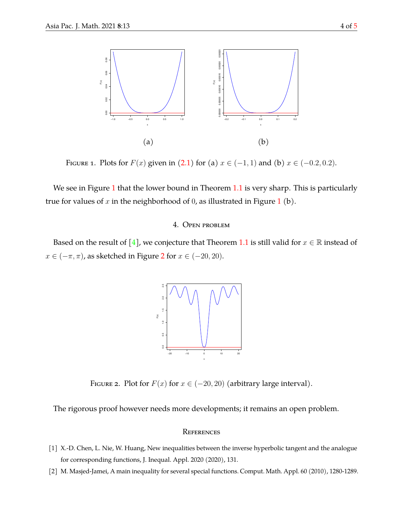

FIGURE 1. Plots for  $F(x)$  given in [\(2.1\)](#page-1-2) for (a)  $x \in (-1,1)$  and (b)  $x \in (-0.2,0.2)$ .

We see in Figure [1](#page-3-2) that the lower bound in Theorem [1.1](#page-1-0) is very sharp. This is particularly true for values of  $x$  in the neighborhood of 0, as illustrated in Figure [1](#page-3-2) (b).

## <span id="page-3-2"></span>4. Open problem

Based on the result of [\[4\]](#page-4-1), we conjecture that Theorem [1.1](#page-1-0) is still valid for  $x \in \mathbb{R}$  instead of  $x \in (-\pi, \pi)$ , as sketched in Figure [2](#page-3-3) for  $x \in (-20, 20)$ .



FIGURE 2. Plot for  $F(x)$  for  $x \in (-20, 20)$  (arbitrary large interval).

<span id="page-3-3"></span>The rigorous proof however needs more developments; it remains an open problem.

#### **REFERENCES**

- <span id="page-3-1"></span>[1] X.-D. Chen, L. Nie, W. Huang, New inequalities between the inverse hyperbolic tangent and the analogue for corresponding functions, J. Inequal. Appl. 2020 (2020), 131.
- <span id="page-3-0"></span>[2] M. Masjed-Jamei, A main inequality for several special functions. Comput. Math. Appl. 60 (2010), 1280-1289.